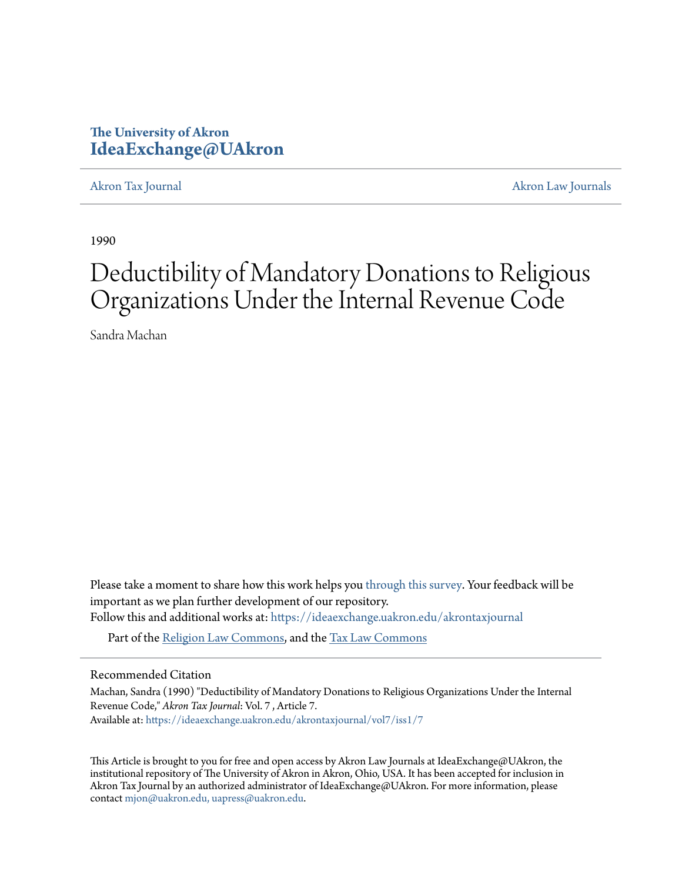# **The University of Akron [IdeaExchange@UAkron](https://ideaexchange.uakron.edu?utm_source=ideaexchange.uakron.edu%2Fakrontaxjournal%2Fvol7%2Fiss1%2F7&utm_medium=PDF&utm_campaign=PDFCoverPages)**

[Akron Tax Journal](https://ideaexchange.uakron.edu/akrontaxjournal?utm_source=ideaexchange.uakron.edu%2Fakrontaxjournal%2Fvol7%2Fiss1%2F7&utm_medium=PDF&utm_campaign=PDFCoverPages) [Akron Law Journals](https://ideaexchange.uakron.edu/akronlawjournals?utm_source=ideaexchange.uakron.edu%2Fakrontaxjournal%2Fvol7%2Fiss1%2F7&utm_medium=PDF&utm_campaign=PDFCoverPages)

1990

# Deductibility of Mandatory Donations to Religious Organizations Under the Internal Revenue Code

Sandra Machan

Please take a moment to share how this work helps you [through this survey.](http://survey.az1.qualtrics.com/SE/?SID=SV_eEVH54oiCbOw05f&URL=https://ideaexchange.uakron.edu/akrontaxjournal/vol7/iss1/7) Your feedback will be important as we plan further development of our repository. Follow this and additional works at: [https://ideaexchange.uakron.edu/akrontaxjournal](https://ideaexchange.uakron.edu/akrontaxjournal?utm_source=ideaexchange.uakron.edu%2Fakrontaxjournal%2Fvol7%2Fiss1%2F7&utm_medium=PDF&utm_campaign=PDFCoverPages)

Part of the [Religion Law Commons](http://network.bepress.com/hgg/discipline/872?utm_source=ideaexchange.uakron.edu%2Fakrontaxjournal%2Fvol7%2Fiss1%2F7&utm_medium=PDF&utm_campaign=PDFCoverPages), and the [Tax Law Commons](http://network.bepress.com/hgg/discipline/898?utm_source=ideaexchange.uakron.edu%2Fakrontaxjournal%2Fvol7%2Fiss1%2F7&utm_medium=PDF&utm_campaign=PDFCoverPages)

#### Recommended Citation

Machan, Sandra (1990) "Deductibility of Mandatory Donations to Religious Organizations Under the Internal Revenue Code," *Akron Tax Journal*: Vol. 7 , Article 7. Available at: [https://ideaexchange.uakron.edu/akrontaxjournal/vol7/iss1/7](https://ideaexchange.uakron.edu/akrontaxjournal/vol7/iss1/7?utm_source=ideaexchange.uakron.edu%2Fakrontaxjournal%2Fvol7%2Fiss1%2F7&utm_medium=PDF&utm_campaign=PDFCoverPages)

This Article is brought to you for free and open access by Akron Law Journals at IdeaExchange@UAkron, the institutional repository of The University of Akron in Akron, Ohio, USA. It has been accepted for inclusion in Akron Tax Journal by an authorized administrator of IdeaExchange@UAkron. For more information, please contact [mjon@uakron.edu, uapress@uakron.edu.](mailto:mjon@uakron.edu,%20uapress@uakron.edu)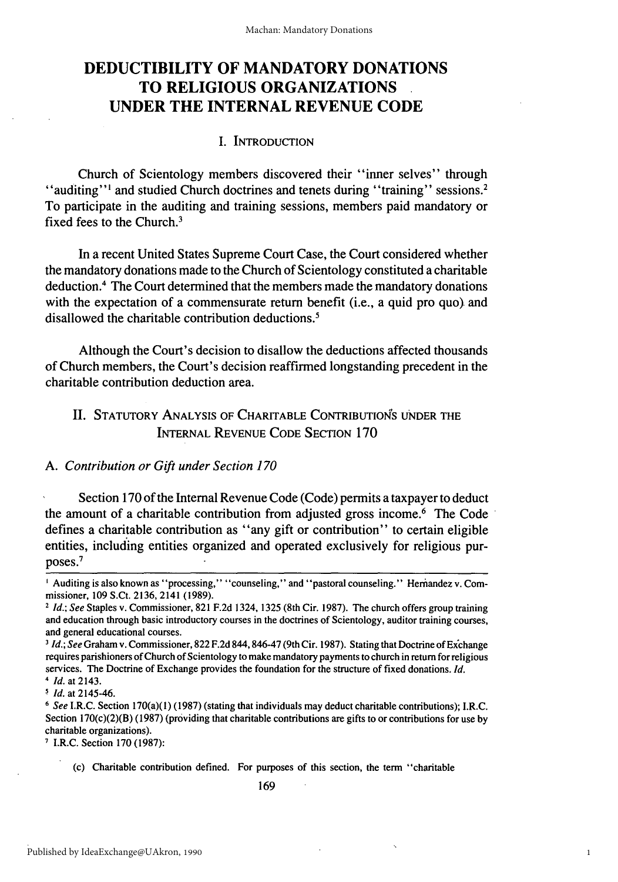# **DEDUCTIBILITY OF MANDATORY DONATIONS TO RELIGIOUS ORGANIZATIONS UNDER THE INTERNAL REVENUE CODE**

### **I.** INTRODUCTION

Church of Scientology members discovered their "inner selves" through "auditing"<sup>1</sup> and studied Church doctrines and tenets during "training" sessions.<sup>2</sup> To participate in the auditing and training sessions, members paid mandatory or fixed fees to the Church.<sup>3</sup>

In a recent United States Supreme Court Case, the Court considered whether the mandatory donations made to the Church of Scientology constituted a charitable deduction.' The Court determined that the members made the mandatory donations with the expectation of a commensurate return benefit (i.e., a quid pro quo) and disallowed the charitable contribution deductions.5

Although the Court's decision to disallow the deductions affected thousands of Church members, the Court's decision reaffirmed longstanding precedent in the charitable contribution deduction area.

## II. STATUTORY ANALYSIS OF CHARITABLE CONTRIBUTIONS UNDER THE INTERNAL REVENUE CODE SECTION 170

#### *A. Contribution or Gift under Section 170*

Section 170 of the Internal Revenue Code (Code) permits a taxpayer to deduct the amount of a charitable contribution from adjusted gross income.<sup>6</sup> The Code defines a charitable contribution as "any gift or contribution" to certain eligible entities, including entities organized and operated exclusively for religious purposes. 7

<sup>7</sup> I.R.C. Section 170 (1987):

<sup>&</sup>lt;sup>1</sup> Auditing is also known as "processing," "counseling," and "pastoral counseling." Hernandez v. Commissioner, 109 S.Ct. 2136, 2141 (1989).

*<sup>2</sup>Id.; See* Staples v. Commissioner, 821 F.2d 1324, 1325 (8th Cir. 1987). The church offers group training and education through basic introductory courses in the doctrines of Scientology, auditor training courses, and general educational courses.

**<sup>3</sup>** *Id.; See* Graham v. Commissioner, 822 F.2d 844,846-47 (9th Cir. 1987). Stating that Doctrine of ExCchange requires parishioners of Church of Scientology to make mandatory payments to church in return for religious services. The Doctrine of Exchange provides the foundation for the structure of fixed donations. *Id.* 4 *Id.* at 2143.

*Id.* at 2145-46.

*<sup>6</sup>See* I.R.C. Section 170(a)(1) (1987) (stating that individuals may deduct charitable contributions); I.R.C. Section 170(c)(2)(B) (1987) (providing that charitable contributions are gifts to or contributions for use by charitable organizations).

<sup>(</sup>c) Charitable contribution defined. For purposes of this section, the term "charitable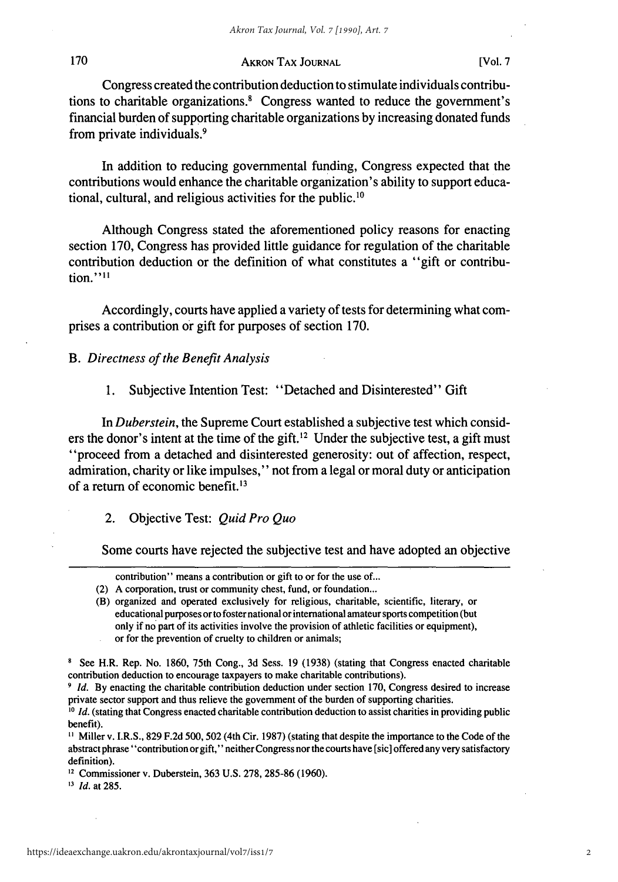#### AKRON **TAX JOURNAL [Vol. 7**

Congress created the contribution deduction to stimulate individuals contributions to charitable organizations.' Congress wanted to reduce the government's financial burden of supporting charitable organizations **by** increasing donated funds from private individuals.<sup>9</sup>

In addition to reducing governmental funding, Congress expected that the contributions would enhance the charitable organization's ability to support educational, cultural, and religious activities for the public.'<sup>0</sup>

Although Congress stated the aforementioned policy reasons for enacting section 170, Congress has provided little guidance for regulation of the charitable contribution deduction or the definition of what constitutes a "gift or contribution."<sup>11</sup>

Accordingly, courts have applied a variety of tests for determining what comprises a contribution or gift for purposes of section **170.**

*B. Directness of the Benefit Analysis*

1. Subjective Intention Test: "Detached and Disinterested" Gift

In *Duberstein,* the Supreme Court established a subjective test which considers the donor's intent at the time of the gift.<sup>12</sup> Under the subjective test, a gift must "proceed from a detached and disinterested generosity: out of affection, respect, admiration, charity or like impulses," not from a legal or moral duty or anticipation of a return of economic benefit.<sup>13</sup>

2. Objective Test: *Quid Pro Quo*

Some courts have rejected the subjective test and have adopted an objective

contribution" means a contribution or gift to or for the use of...

<sup>(2)</sup> A corporation, trust or community chest, fund, or foundation...

<sup>(</sup>B) organized and operated exclusively for religious, charitable, scientific, literary, or educational purposes or to foster national or international amateur sports competition (but only if no part of its activities involve the provision of athletic facilities or equipment), or for the prevention of cruelty to children or animals;

**<sup>8</sup>**See H.R. Rep. No. 1860, 75th Cong., 3d Sess. **19** (1938) (stating that Congress enacted charitable contribution deduction to encourage taxpayers to make charitable contributions).

**<sup>9</sup>** *Id.* **By** enacting the charitable contribution deduction under section **170,** Congress desired to increase private sector support and thus relieve the government of the burden of supporting charities.

**<sup>10</sup>** *Id.* (stating that Congress enacted charitable contribution deduction to assist charities in providing public benefit).

**I** Miller v. I.R.S., **829** F.2d 500, 502 (4th Cir. **1987)** (stating that despite the importance to the Code of the abstract phrase 'contribution or gift," neither Congress nor the courts have [sic] offered any very satisfactory definition).

**<sup>12</sup>** Commissioner v. Duberstein, **363** U.S. 278, 285-86 (1960).

*<sup>13</sup>Id.* at 285.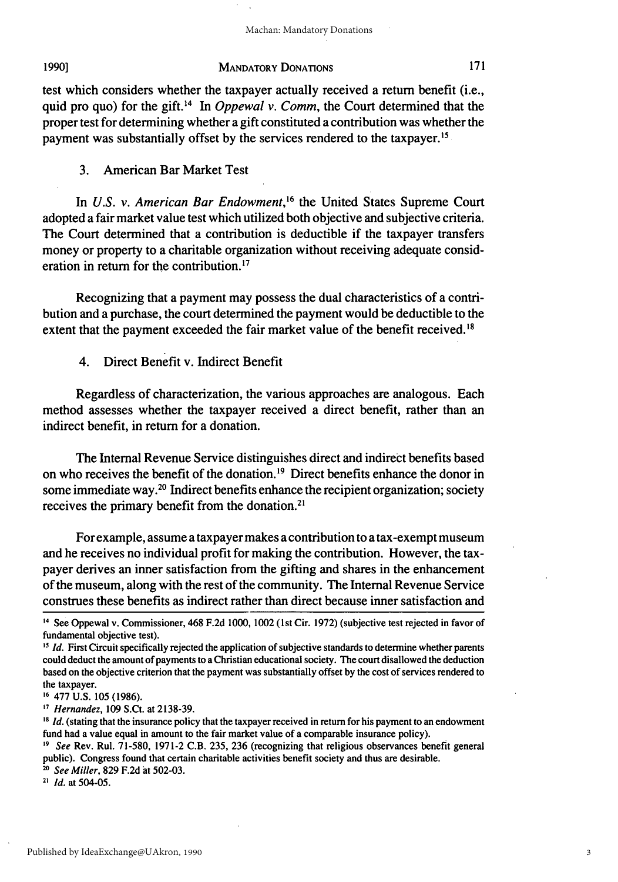#### **1990]**

#### MANDATORY **DONATIONS**

test which considers whether the taxpayer actually received a return benefit (i.e., quid pro quo) for the gift.<sup>14</sup> In *Oppewal v. Comm*, the Court determined that the proper test for determining whether a gift constituted a contribution was whether the payment was substantially offset by the services rendered to the taxpayer.<sup>15</sup>

3. American Bar Market Test

In *U.S. v. American Bar Endowment*,<sup>16</sup> the United States Supreme Court adopted a fair market value test which utilized both objective and subjective criteria. The Court determined that a contribution is deductible if the taxpayer transfers money or property to a charitable organization without receiving adequate consideration in return for the contribution.<sup>17</sup>

Recognizing that a payment may possess the dual characteristics of a contribution and a purchase, the court determined the payment would be deductible to the extent that the payment exceeded the fair market value of the benefit received.'<sup>8</sup>

4. Direct Benefit v. Indirect Benefit

Regardless of characterization, the various approaches are analogous. Each method assesses whether the taxpayer received a direct benefit, rather than an indirect benefit, in return for a donation.

The Internal Revenue Service distinguishes direct and indirect benefits based on who receives the benefit of the donation. 19 Direct benefits enhance the donor in some immediate way.20 Indirect benefits enhance the recipient organization; society receives the primary benefit from the donation.<sup>21</sup>

For example, assume a taxpayer makes a contribution to a tax-exempt museum and he receives no individual profit for making the contribution. However, the taxpayer derives an inner satisfaction from the gifting and shares in the enhancement of the museum, along with the rest of the community. The Internal Revenue Service construes these benefits as indirect rather than direct because inner satisfaction and

**'7** *Hernandez,* 109 S.Ct. at 2138-39.

**<sup>14</sup>**See Oppewal v. Commissioner, 468 F.2d 1000, 1002 **(1st** Cir. 1972) (subjective test rejected in favor of fundamental objective test).

<sup>&</sup>lt;sup>15</sup> *Id.* First Circuit specifically rejected the application of subjective standards to determine whether parents could deduct the amount of payments to a Christian educational society. The court disallowed the deduction based on the objective criterion that the payment was substantially offset by the cost of services rendered to the taxpayer.

**<sup>16</sup>**477 U.S. 105 (1986).

**<sup>18</sup>** *Id.* (stating that the insurance policy that the taxpayer received in return for his payment to an endowment fund had a value equal in amount to the fair market value of a comparable insurance policy).

*<sup>19</sup>See* Rev. Rul. 71-580, 1971-2 C.B. 235, 236 (recognizing that religious observances benefit general public). Congress found that certain charitable activities benefit society and thus are desirable.

*<sup>0</sup> See Miller,* 829 F.2d at 502-03. **<sup>21</sup>***Id.* at 504-05.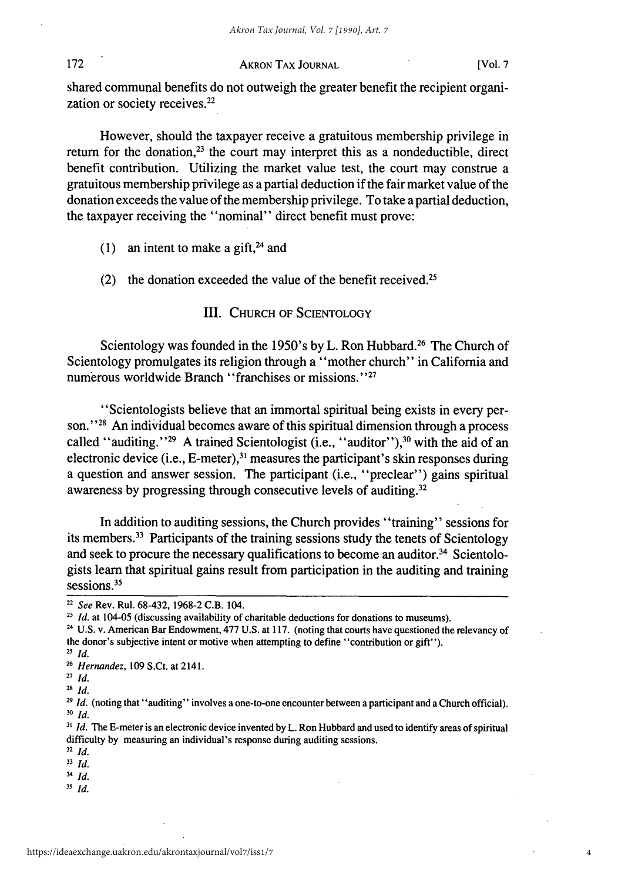#### 172

#### **AKRON TAX JOURNAL** [Vol. **7**

4

shared communal benefits do not outweigh the greater benefit the recipient organization or society receives.<sup>22</sup>

However, should the taxpayer receive a gratuitous membership privilege in return for the donation, $2<sup>3</sup>$  the court may interpret this as a nondeductible, direct benefit contribution. Utilizing the market value test, the court may construe a gratuitous membership privilege as a partial deduction if the fair market value of the donation exceeds the value of the membership privilege. To take a partial deduction, the taxpayer receiving the "nominal" direct benefit must prove:

- (1) an intent to make a gift,<sup>24</sup> and
- (2) the donation exceeded the value of the benefit received.<sup>25</sup>

III. CHURCH OF SCIENTOLOGY

Scientology was founded in the 1950's **by** L. Ron Hubbard. 26 The Church of Scientology promulgates its religion through a "mother church" in California and numerous worldwide Branch "franchises or missions."<sup>27</sup>

"Scientologists believe that an immortal spiritual being exists in every person."<sup>28</sup> An individual becomes aware of this spiritual dimension through a process called "auditing."<sup>29</sup> A trained Scientologist (i.e., "auditor"),<sup>30</sup> with the aid of an electronic device (i.e., E-meter), $31$  measures the participant's skin responses during a question and answer session. The participant (i.e., "preclear") gains spiritual awareness by progressing through consecutive levels of auditing. <sup>32</sup>

In addition to auditing sessions, the Church provides "training" sessions for its members.33 Participants of the training sessions study the tenets of Scientology and seek to procure the necessary qualifications to become an auditor.<sup>34</sup> Scientologists learn that spiritual gains result from participation in the auditing and training sessions.<sup>35</sup>

 $^{25}$  *Id.* 

**29** *Id.* (noting that "auditing" involves a one-to-one encounter between a participant and a Church official). **30** *Id.*

**31** *Id.* The E-meter is an electronic device invented by L. Ron Hubbard and used to identify areas of spiritual difficulty by measuring an individual's response during auditing sessions.

- **<sup>32</sup>***Id.*
- **33** *Id.*
- *4 Id.* **35** *Id.*

**<sup>22</sup>** *See* Rev. Rul. 68-432, 1968-2 C.B. 104.

<sup>&</sup>lt;sup>23</sup> *Id.* at 104-05 (discussing availability of charitable deductions for donations to museums).

**<sup>2</sup>**U.S. v. American Bar Endowment, 477 U.S. at 117. (noting that courts have questioned the relevancy of the donor's subjective intent or motive when attempting to define "contribution or gift").

*<sup>26</sup> Hernandez,* 109 S.Ct. at 2141.

**<sup>27</sup>** *Id.*

**<sup>28</sup>** *Id.*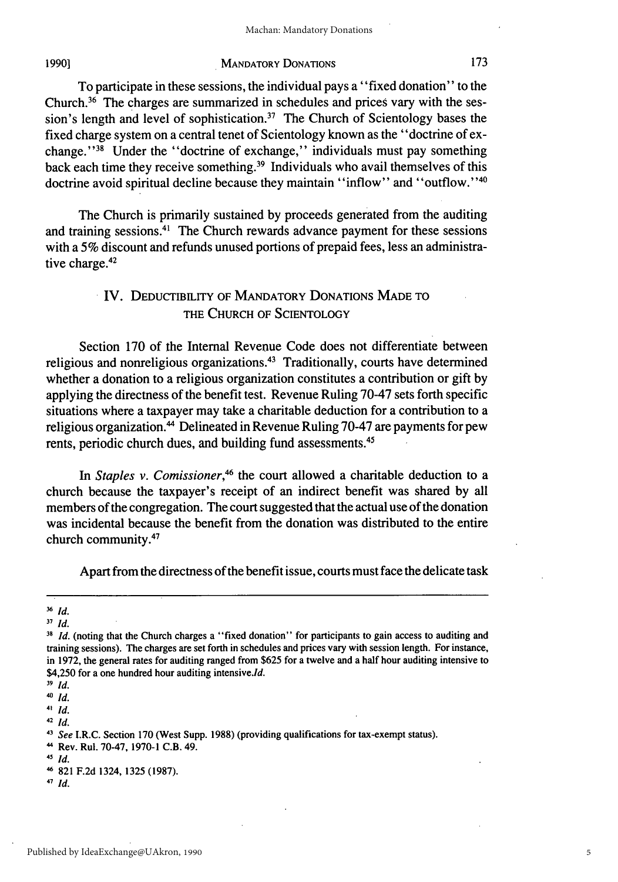#### **1990]**

#### MANDATORY DONATIONS

To participate in these sessions, the individual pays a "fixed donation" to the Church.36 The charges are summarized in schedules and prices vary with the session's length and level of sophistication.<sup>37</sup> The Church of Scientology bases the fixed charge system on a central tenet of Scientology known as the "doctrine of exchange."<sup>38</sup> Under the "doctrine of exchange," individuals must pay something back each time they receive something.<sup>39</sup> Individuals who avail themselves of this doctrine avoid spiritual decline because they maintain "inflow" and "outflow."<sup>40</sup>

The Church is primarily sustained by proceeds generated from the auditing and training sessions.41 The Church rewards advance payment for these sessions with a 5% discount and refunds unused portions of prepaid fees, less an administrative charge.<sup>42</sup>

# IV. DEDUCTIBILITY OF MANDATORY DONATIONS MADE TO THE CHURCH OF SCIENTOLOGY

Section 170 of the Internal Revenue Code does not differentiate between religious and nonreligious organizations.43 Traditionally, courts have determined whether a donation to a religious organization constitutes a contribution or gift by applying the directness of the benefit test. Revenue Ruling 70-47 sets forth specific situations where a taxpayer may take a charitable deduction for a contribution to a religious organization.<sup>44</sup> Delineated in Revenue Ruling 70-47 are payments for pew rents, periodic church dues, and building fund assessments.<sup>45</sup>

In *Staples v. Comissioner*,<sup>46</sup> the court allowed a charitable deduction to a church because the taxpayer's receipt of an indirect benefit was shared by all members of the congregation. The court suggested that the actual use of the donation was incidental because the benefit from the donation was distributed to the entire church community.47

Apart from the directness of the benefit issue, courts must face the delicate task

**41** *Id.*

**42** *ld.*

**45** *Id.*

**47** *Id.*

**<sup>36</sup>** *Id.*

*<sup>37</sup> Id.*

<sup>&</sup>lt;sup>38</sup> *Id.* (noting that the Church charges a "fixed donation" for participants to gain access to auditing and training sessions). The charges are set forth in schedules and prices vary with session length. For instance, in 1972, the general rates for auditing ranged from \$625 for a twelve and a half hour auditing intensive to  $$4,250$  for a one hundred hour auditing intensive.*Id.* 

*<sup>39</sup> Id.*

**<sup>40</sup>** *Id.*

*<sup>3</sup> See* I.R.C. Section 170 (West Supp. 1988) (providing qualifications for tax-exempt status).

<sup>4</sup> Rev. Rul. 70-47, 1970-1 C.B. 49.

**<sup>-</sup>** 821 F.2d 1324, 1325 (1987).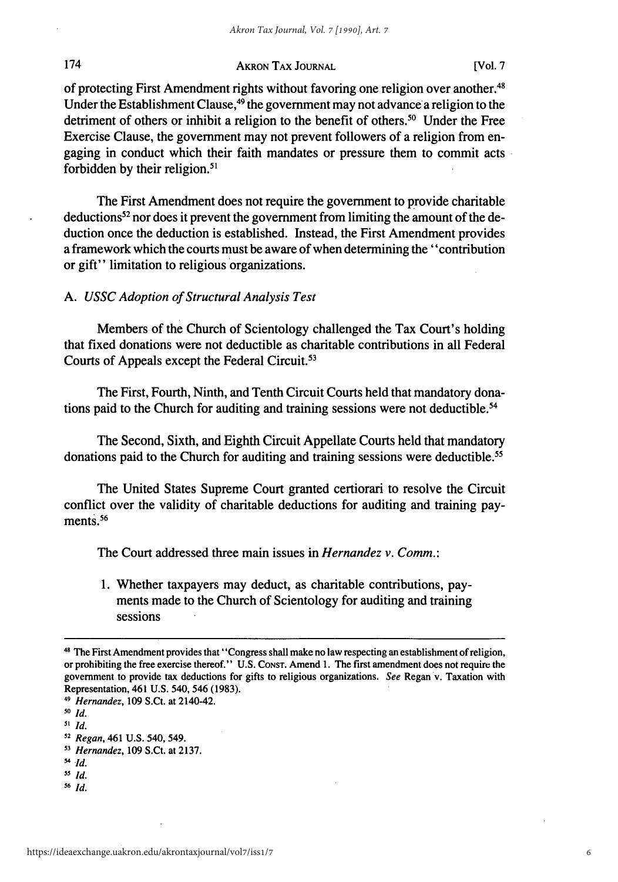#### AKRON TAX JOURNAL

of protecting First Amendment rights without favoring one religion over another. <sup>48</sup> Under the Establishment Clause,<sup>49</sup> the government may not advance a religion to the detriment of others or inhibit a religion to the benefit of others.<sup>50</sup> Under the Free Exercise Clause, the government may not prevent followers of a religion from engaging in conduct which their faith mandates or pressure them to commit acts forbidden by their religion. $51$ 

The First Amendment does not require the government to provide charitable deductions52 nor does it prevent the government from limiting the amount of the deduction once the deduction is established. Instead, the First Amendment provides a framework which the courts must be aware of when determining the "contribution or gift" limitation to religious organizations.

#### *A. USSC Adoption of Structural Analysis Test*

Members of the Church of Scientology challenged the Tax Court's holding that fixed donations were not deductible as charitable contributions in all Federal Courts of Appeals except the Federal Circuit.<sup>53</sup>

The First, Fourth, Ninth, and Tenth Circuit Courts held that mandatory donations paid to the Church for auditing and training sessions were not deductible.<sup>54</sup>

The Second, Sixth, and Eighth Circuit Appellate Courts held that mandatory donations paid to the Church for auditing and training sessions were deductible. <sup>55</sup>

The United States Supreme Court granted certiorari to resolve the Circuit conflict over the validity of charitable deductions for auditing and training payments.<sup>56</sup>

The Court addressed three main issues in *Hernandez v. Comm.:*

1. Whether taxpayers may deduct, as charitable contributions, payments made to the Church of Scientology for auditing and training sessions

174

**<sup>48</sup>** The First Amendment provides that "Congress shall make no law respecting an establishment of religion, or prohibiting the free exercise thereof." U.S. CoNsT. Amend 1. The first amendment does not require the government to provide tax deductions for gifts to religious organizations. *See* Regan v. Taxation with Representation, 461 U.S. 540, 546 (1983).

*<sup>49</sup> Hernandez,* 109 S.Ct. at 2140-42.

*<sup>50</sup> Id.*

*<sup>51</sup> Id.*

**<sup>52</sup>** *Regan,* 461 U.S. 540, 549.

*<sup>13</sup> Hernandez,* 109 S.Ct. at 2137.

*<sup>&</sup>quot;4 Id. 55 Id.*

**<sup>56</sup>** *Id.*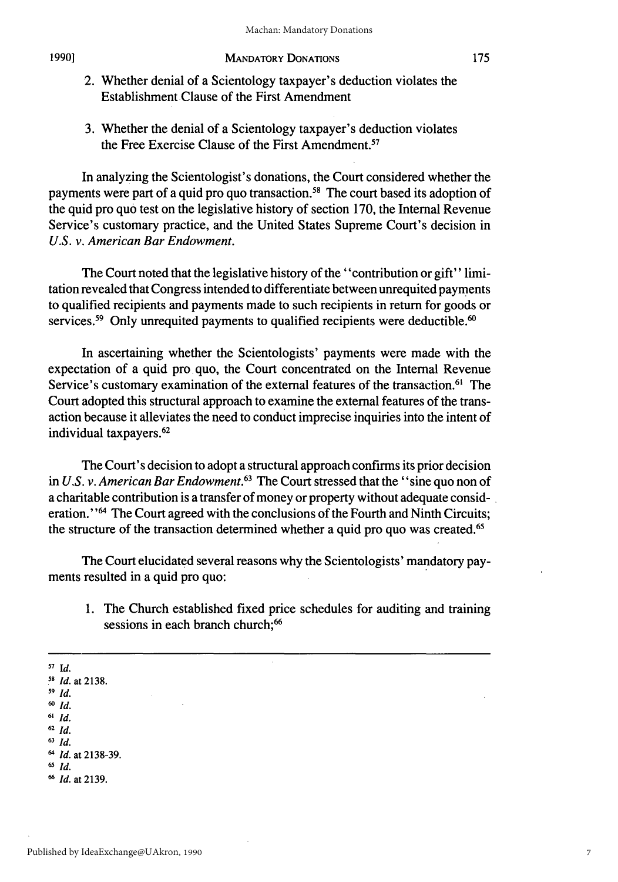#### MANDATORY DONATIONS

- 2. Whether denial of a Scientology taxpayer's deduction violates the Establishment Clause of the First Amendment
- 3. Whether the denial of a Scientology taxpayer's deduction violates the Free Exercise Clause of the First Amendment.<sup>57</sup>

In analyzing the Scientologist's donations, the Court considered whether the payments were part of a quid pro quo transaction.<sup>58</sup> The court based its adoption of the quid pro quo test on the legislative history of section 170, the Internal Revenue Service's customary practice, and the United States Supreme Court's decision in *U.S. v. American Bar Endowment.*

The Court noted that the legislative history of the "contribution or gift" limitation revealed that Congress intended to differentiate between unrequited payments to qualified recipients and payments made to such recipients in return for goods or services.<sup>59</sup> Only unrequited payments to qualified recipients were deductible.<sup>60</sup>

In ascertaining whether the Scientologists' payments were made with the expectation of a quid pro quo, the Court concentrated on the Internal Revenue Service's customary examination of the external features of the transaction.<sup>61</sup> The Court adopted this structural approach to examine the external features of the transaction because it alleviates the need to conduct imprecise inquiries into the intent of individual taxpayers. <sup>62</sup>

The Court's decision to adopt a structural approach confirms its prior decision in *U.S. v. American Bar Endowment.63* The Court stressed that the "sine quo non of a charitable contribution is a transfer of money or property without adequate consideration. "64 The Court agreed with the conclusions of the Fourth and Ninth Circuits; the structure of the transaction determined whether a quid pro quo was created.<sup>65</sup>

The Court elucidated several reasons why the Scientologists' mandatory payments resulted in a quid pro quo:

1. The Church established fixed price schedules for auditing and training sessions in each branch church;<sup>66</sup>

**57 Id.** *1s Id.* at 2138. **59** *Id. 60 Id.* **<sup>61</sup>***Id.* **<sup>62</sup>***Id.* **<sup>63</sup>***Id.*

**65** *Id.*

<sup>64</sup> *Id.* at **2138-39.**

**<sup>6</sup>***Id.* at **2139.**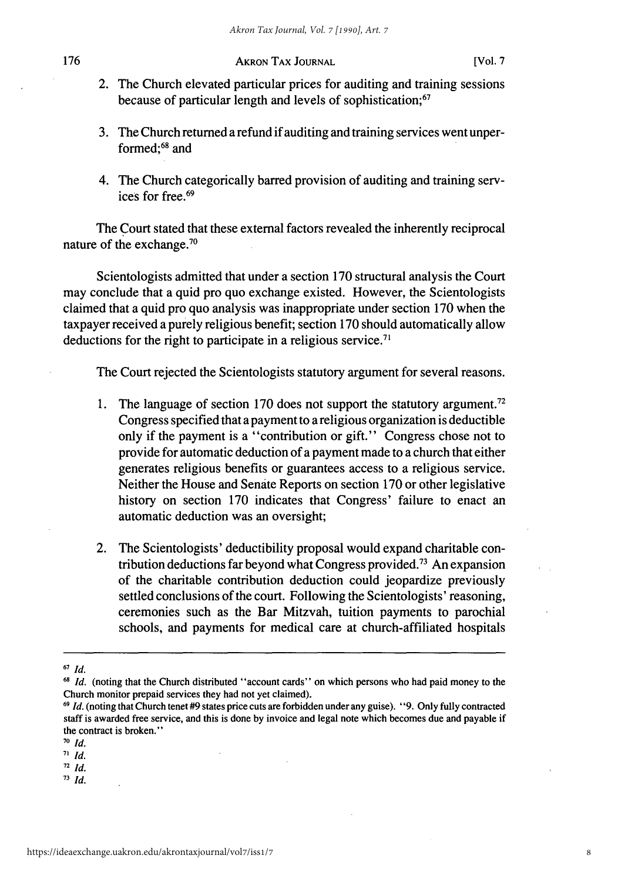- 2. The Church elevated particular prices for auditing and training sessions because of particular length and levels of sophistication; <sup>67</sup>
- 3. The Church returned a refund if auditing and training services went unperformed;<sup>68</sup> and
- 4. The Church categorically barred provision of auditing and training services for free.<sup>69</sup>

The Court stated that these external factors revealed the inherently reciprocal nature of the exchange.70

Scientologists admitted that under a section 170 structural analysis the Court may conclude that a quid pro quo exchange existed. However, the Scientologists claimed that a quid pro quo analysis was inappropriate under section 170 when the taxpayer received a purely religious benefit; section 170 should automatically allow deductions for the right to participate in a religious service.<sup>71</sup>

The Court rejected the Scientologists statutory argument for several reasons.

- 1. The language of section 170 does not support the statutory argument.<sup>72</sup> Congress specified that a payment to a religious organization is deductible only if the payment is a "contribution or gift." Congress chose not to provide for automatic deduction of a payment made to a church that either generates religious benefits or guarantees access to a religious service. Neither the House and Senate Reports on section 170 or other legislative history on section 170 indicates that Congress' failure to enact an automatic deduction was an oversight;
- 2. The Scientologists' deductibility proposal would expand charitable contribution deductions far beyond what Congress provided.73 An expansion of the charitable contribution deduction could jeopardize previously settled conclusions of the court. Following the Scientologists' reasoning, ceremonies such as the Bar Mitzvah, tuition payments to parochial schools, and payments for medical care at church-affiliated hospitals

**73** *Id.*

**<sup>67</sup>***Id.*

<sup>&</sup>lt;sup>68</sup> Id. (noting that the Church distributed "account cards" on which persons who had paid money to the Church monitor prepaid services they had not yet claimed).

**<sup>69</sup>** *Id.* (noting that Church tenet #9 states price cuts are forbidden under any guise). "9. Only fully contracted staff is awarded free service, and this is done by invoice and legal note which becomes due and payable if the contract is broken."

**<sup>70</sup>** *Id.*

**<sup>71</sup>** *Id.*

**<sup>72</sup>***Id.*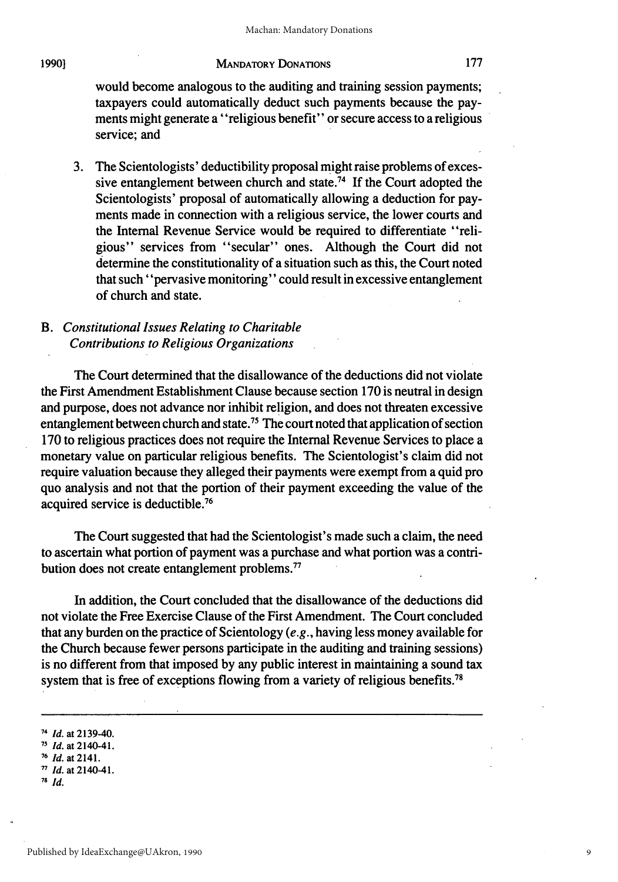#### **1990]**

#### MANDATORY DONATIONS

would become analogous to the auditing and training session payments; taxpayers could automatically deduct such payments because the payments might generate a "religious benefit" or secure access to a religious service; and

3. The Scientologists' deductibility proposal might raise problems of excessive entanglement between church and state.<sup>74</sup> If the Court adopted the Scientologists' proposal of automatically allowing a deduction for payments made in connection with a religious service, the lower courts and the Internal Revenue Service would be required to differentiate "religious" services from "secular" ones. Although the Court did not determine the constitutionality of a situation such as this, the Court noted that such "pervasive monitoring" could result in excessive entanglement of church and state.

### *B. Constitutional Issues Relating to Charitable Contributions to Religious Organizations*

The Court determined that the disallowance of the deductions did not violate the First Amendment Establishment Clause because section 170 is neutral in design and purpose, does not advance nor inhibit religion, and does not threaten excessive entanglement between church and state.<sup>75</sup> The court noted that application of section 170 to religious practices does not require the Internal Revenue Services to place a monetary value on particular religious benefits. The Scientologist's claim did not require valuation because they alleged their payments were exempt from a quid pro quo analysis and not that the portion of their payment exceeding the value of the acquired service is deductible. <sup>76</sup>

The Court suggested that had the Scientologist's made such a claim, the need to ascertain what portion of payment was a purchase and what portion was a contribution does not create entanglement problems.<sup>77</sup>

In addition, the Court concluded that the disallowance of the deductions did not violate the Free Exercise Clause of the First Amendment. The Court concluded that any burden on the practice of Scientology *(e.g.,* having less money available for the Church because fewer persons participate in the auditing and training sessions) is no different from that imposed by any public interest in maintaining a sound tax system that is free of exceptions flowing from a variety of religious benefits.<sup>78</sup>

**<sup>78</sup>***Id.*

9

<sup>74</sup> *Id.* at 2139-40.

**<sup>71</sup>** *Id.* at 2140-41.

**<sup>76</sup>** *Id.* at 2141.

**<sup>77</sup>** *Id.* at 2140-41.